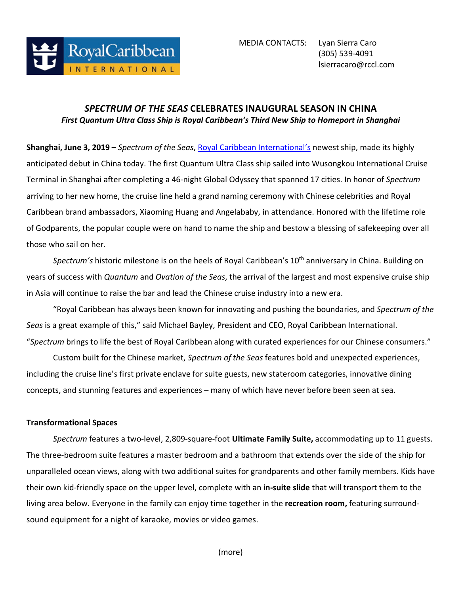

# *SPECTRUM OF THE SEAS* **CELEBRATES INAUGURAL SEASON IN CHINA** *First Quantum Ultra Class Ship is Royal Caribbean's Third New Ship to Homeport in Shanghai*

**Shanghai, June 3, 2019 –** *Spectrum of the Seas*, [Royal Caribbean](https://www.royalcaribbean.com/?ecid=pr_int_pblc_r_wb_3338) International's newest ship, made its highly anticipated debut in China today. The first Quantum Ultra Class ship sailed into Wusongkou International Cruise Terminal in Shanghai after completing a 46-night Global Odyssey that spanned 17 cities. In honor of *Spectrum* arriving to her new home, the cruise line held a grand naming ceremony with Chinese celebrities and Royal Caribbean brand ambassadors, Xiaoming Huang and Angelababy, in attendance. Honored with the lifetime role of Godparents, the popular couple were on hand to name the ship and bestow a blessing of safekeeping over all those who sail on her.

Spectrum's historic milestone is on the heels of Royal Caribbean's 10<sup>th</sup> anniversary in China. Building on years of success with *Quantum* and *Ovation of the Seas*, the arrival of the largest and most expensive cruise ship in Asia will continue to raise the bar and lead the Chinese cruise industry into a new era.

"Royal Caribbean has always been known for innovating and pushing the boundaries, and *Spectrum of the Seas* is a great example of this," said Michael Bayley, President and CEO, Royal Caribbean International. "*Spectrum* brings to life the best of Royal Caribbean along with curated experiences for our Chinese consumers."

Custom built for the Chinese market, *Spectrum of the Seas* features bold and unexpected experiences, including the cruise line's first private enclave for suite guests, new stateroom categories, innovative dining concepts, and stunning features and experiences – many of which have never before been seen at sea.

## **Transformational Spaces**

*Spectrum* features a two-level, 2,809-square-foot **Ultimate Family Suite,** accommodating up to 11 guests. The three-bedroom suite features a master bedroom and a bathroom that extends over the side of the ship for unparalleled ocean views, along with two additional suites for grandparents and other family members. Kids have their own kid-friendly space on the upper level, complete with an **in-suite slide** that will transport them to the living area below. Everyone in the family can enjoy time together in the **recreation room,** featuring surroundsound equipment for a night of karaoke, movies or video games.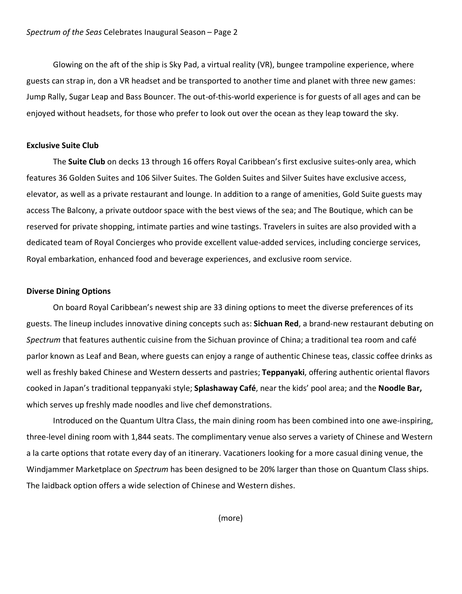Glowing on the aft of the ship is Sky Pad, a virtual reality (VR), bungee trampoline experience, where guests can strap in, don a VR headset and be transported to another time and planet with three new games: Jump Rally, Sugar Leap and Bass Bouncer. The out-of-this-world experience is for guests of all ages and can be enjoyed without headsets, for those who prefer to look out over the ocean as they leap toward the sky.

### **Exclusive Suite Club**

The **Suite Club** on decks 13 through 16 offers Royal Caribbean's first exclusive suites-only area, which features 36 Golden Suites and 106 Silver Suites. The Golden Suites and Silver Suites have exclusive access, elevator, as well as a private restaurant and lounge. In addition to a range of amenities, Gold Suite guests may access The Balcony, a private outdoor space with the best views of the sea; and The Boutique, which can be reserved for private shopping, intimate parties and wine tastings. Travelers in suites are also provided with a dedicated team of Royal Concierges who provide excellent value-added services, including concierge services, Royal embarkation, enhanced food and beverage experiences, and exclusive room service.

### **Diverse Dining Options**

On board Royal Caribbean's newest ship are 33 dining options to meet the diverse preferences of its guests. The lineup includes innovative dining concepts such as: **Sichuan Red**, a brand-new restaurant debuting on *Spectrum* that features authentic cuisine from the Sichuan province of China; a traditional tea room and café parlor known as Leaf and Bean, where guests can enjoy a range of authentic Chinese teas, classic coffee drinks as well as freshly baked Chinese and Western desserts and pastries; **Teppanyaki**, offering authentic oriental flavors cooked in Japan's traditional teppanyaki style; **Splashaway Café**, near the kids' pool area; and the **Noodle Bar,**  which serves up freshly made noodles and live chef demonstrations.

Introduced on the Quantum Ultra Class, the main dining room has been combined into one awe-inspiring, three-level dining room with 1,844 seats. The complimentary venue also serves a variety of Chinese and Western a la carte options that rotate every day of an itinerary. Vacationers looking for a more casual dining venue, the Windjammer Marketplace on *Spectrum* has been designed to be 20% larger than those on Quantum Class ships. The laidback option offers a wide selection of Chinese and Western dishes.

(more)